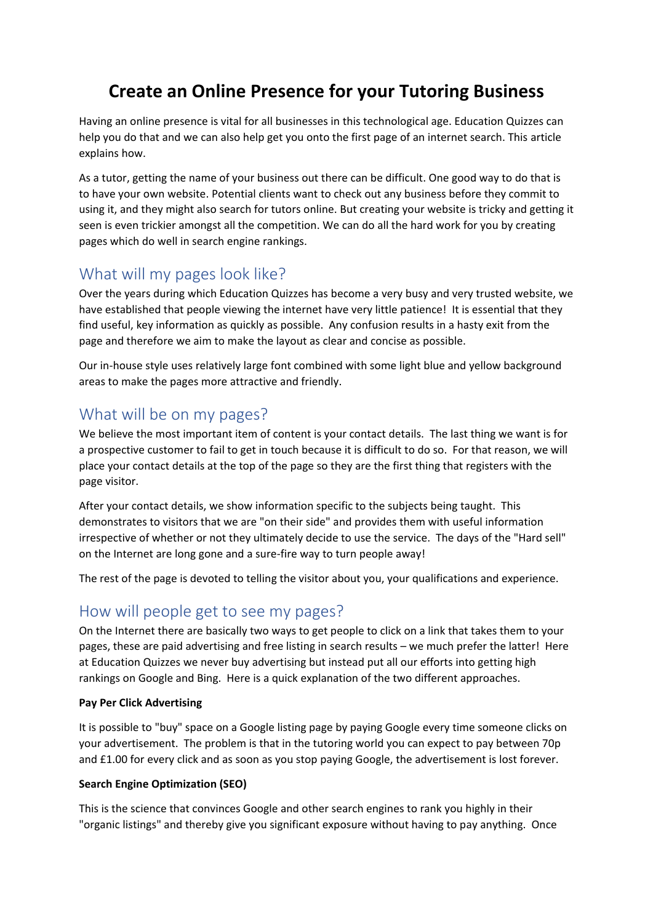# **Create an Online Presence for your Tutoring Business**

Having an online presence is vital for all businesses in this technological age. Education Quizzes can help you do that and we can also help get you onto the first page of an internet search. This article explains how.

As a tutor, getting the name of your business out there can be difficult. One good way to do that is to have your own website. Potential clients want to check out any business before they commit to using it, and they might also search for tutors online. But creating your website is tricky and getting it seen is even trickier amongst all the competition. We can do all the hard work for you by creating pages which do well in search engine rankings.

# What will my pages look like?

Over the years during which Education Quizzes has become a very busy and very trusted website, we have established that people viewing the internet have very little patience! It is essential that they find useful, key information as quickly as possible. Any confusion results in a hasty exit from the page and therefore we aim to make the layout as clear and concise as possible.

Our in-house style uses relatively large font combined with some light blue and yellow background areas to make the pages more attractive and friendly.

# What will be on my pages?

We believe the most important item of content is your contact details. The last thing we want is for a prospective customer to fail to get in touch because it is difficult to do so. For that reason, we will place your contact details at the top of the page so they are the first thing that registers with the page visitor.

After your contact details, we show information specific to the subjects being taught. This demonstrates to visitors that we are "on their side" and provides them with useful information irrespective of whether or not they ultimately decide to use the service. The days of the "Hard sell" on the Internet are long gone and a sure-fire way to turn people away!

The rest of the page is devoted to telling the visitor about you, your qualifications and experience.

### How will people get to see my pages?

On the Internet there are basically two ways to get people to click on a link that takes them to your pages, these are paid advertising and free listing in search results – we much prefer the latter! Here at Education Quizzes we never buy advertising but instead put all our efforts into getting high rankings on Google and Bing. Here is a quick explanation of the two different approaches.

#### **Pay Per Click Advertising**

It is possible to "buy" space on a Google listing page by paying Google every time someone clicks on your advertisement. The problem is that in the tutoring world you can expect to pay between 70p and £1.00 for every click and as soon as you stop paying Google, the advertisement is lost forever.

#### **Search Engine Optimization (SEO)**

This is the science that convinces Google and other search engines to rank you highly in their "organic listings" and thereby give you significant exposure without having to pay anything. Once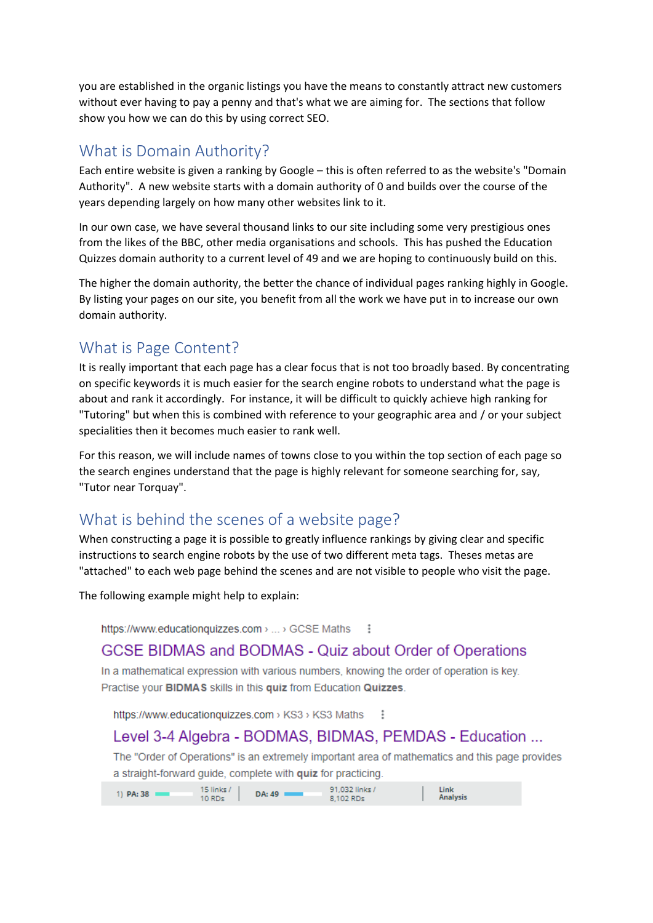you are established in the organic listings you have the means to constantly attract new customers without ever having to pay a penny and that's what we are aiming for. The sections that follow show you how we can do this by using correct SEO.

#### What is Domain Authority?

Each entire website is given a ranking by Google – this is often referred to as the website's "Domain Authority". A new website starts with a domain authority of 0 and builds over the course of the years depending largely on how many other websites link to it.

In our own case, we have several thousand links to our site including some very prestigious ones from the likes of the BBC, other media organisations and schools. This has pushed the Education Quizzes domain authority to a current level of 49 and we are hoping to continuously build on this.

The higher the domain authority, the better the chance of individual pages ranking highly in Google. By listing your pages on our site, you benefit from all the work we have put in to increase our own domain authority.

### What is Page Content?

It is really important that each page has a clear focus that is not too broadly based. By concentrating on specific keywords it is much easier for the search engine robots to understand what the page is about and rank it accordingly. For instance, it will be difficult to quickly achieve high ranking for "Tutoring" but when this is combined with reference to your geographic area and / or your subject specialities then it becomes much easier to rank well.

For this reason, we will include names of towns close to you within the top section of each page so the search engines understand that the page is highly relevant for someone searching for, say, "Tutor near Torquay".

# What is behind the scenes of a website page?

When constructing a page it is possible to greatly influence rankings by giving clear and specific instructions to search engine robots by the use of two different meta tags. Theses metas are "attached" to each web page behind the scenes and are not visible to people who visit the page.

The following example might help to explain:

https://www.educationquizzes.com > ... > GCSE Maths  $\ddot{\cdot}$ 

#### **GCSE BIDMAS and BODMAS - Quiz about Order of Operations**

In a mathematical expression with various numbers, knowing the order of operation is key. Practise your BIDMAS skills in this quiz from Education Quizzes.

https://www.educationquizzes.com > KS3 > KS3 Maths

### Level 3-4 Algebra - BODMAS, BIDMAS, PEMDAS - Education ...

The "Order of Operations" is an extremely important area of mathematics and this page provides a straight-forward guide, complete with quiz for practicing.

| $1)$ PA: 38 | 15 links / |        | 91.032 links / | Link            |
|-------------|------------|--------|----------------|-----------------|
|             | $10$ RDs   | DA: 49 | 8.102 RDs      | <b>Analysis</b> |